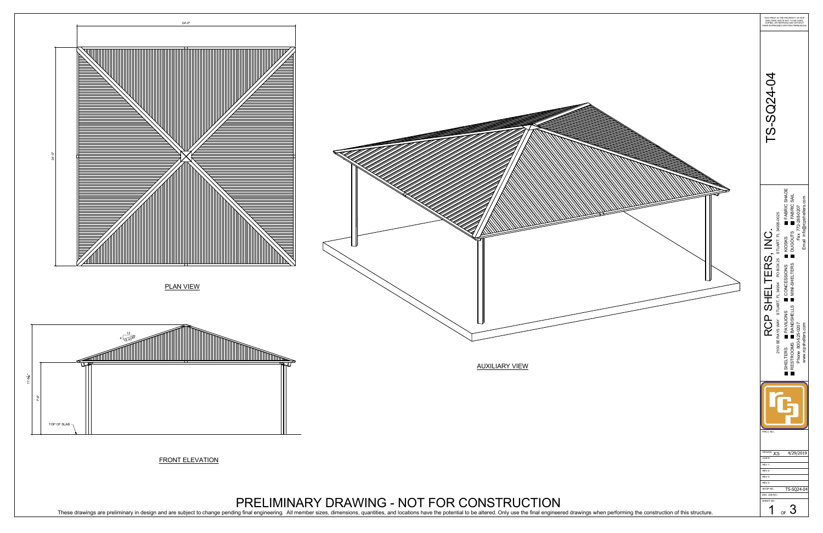

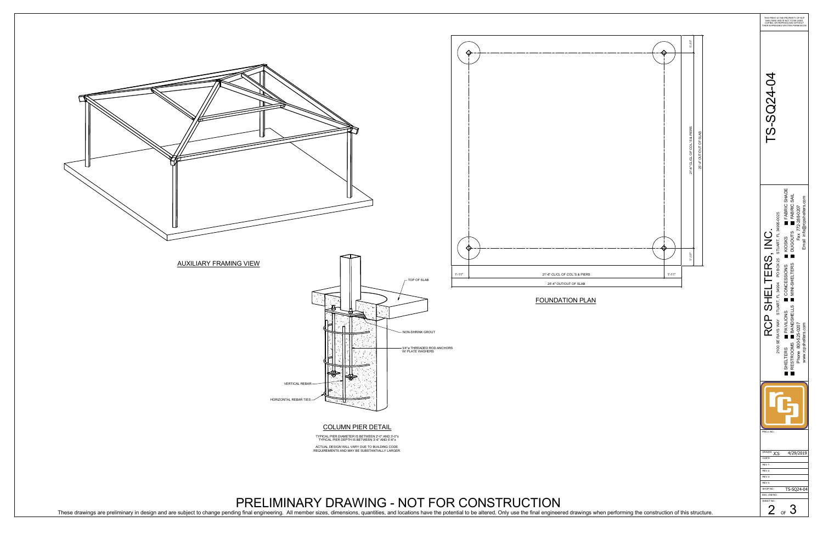